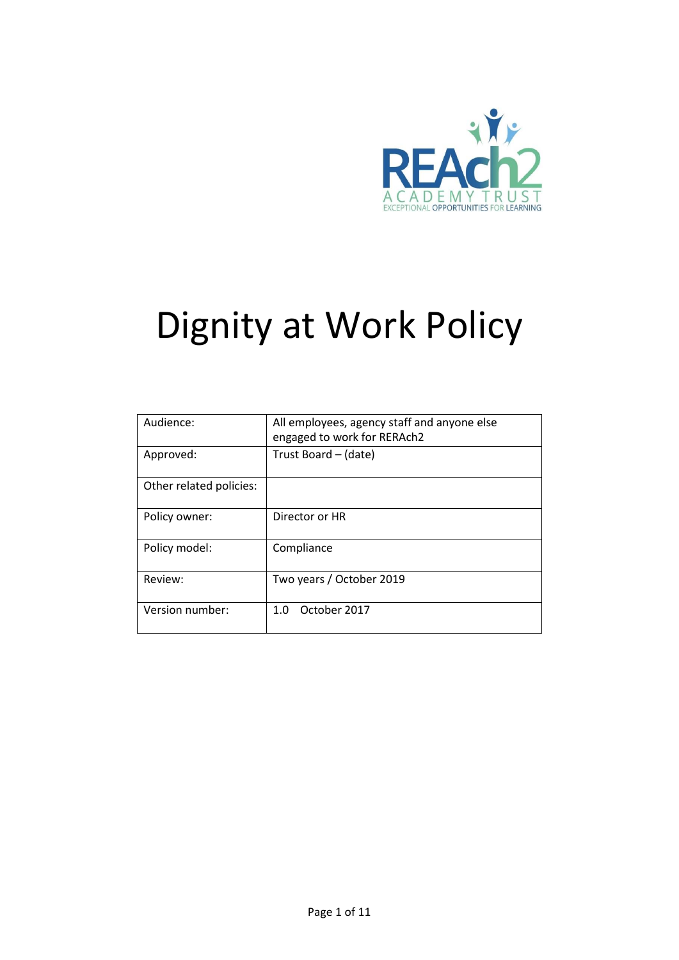

# Dignity at Work Policy

| Audience:               | All employees, agency staff and anyone else<br>engaged to work for RERAch2 |  |
|-------------------------|----------------------------------------------------------------------------|--|
| Approved:               | Trust Board - (date)                                                       |  |
| Other related policies: |                                                                            |  |
| Policy owner:           | Director or HR                                                             |  |
| Policy model:           | Compliance                                                                 |  |
| Review:                 | Two years / October 2019                                                   |  |
| Version number:         | October 2017<br>1.0                                                        |  |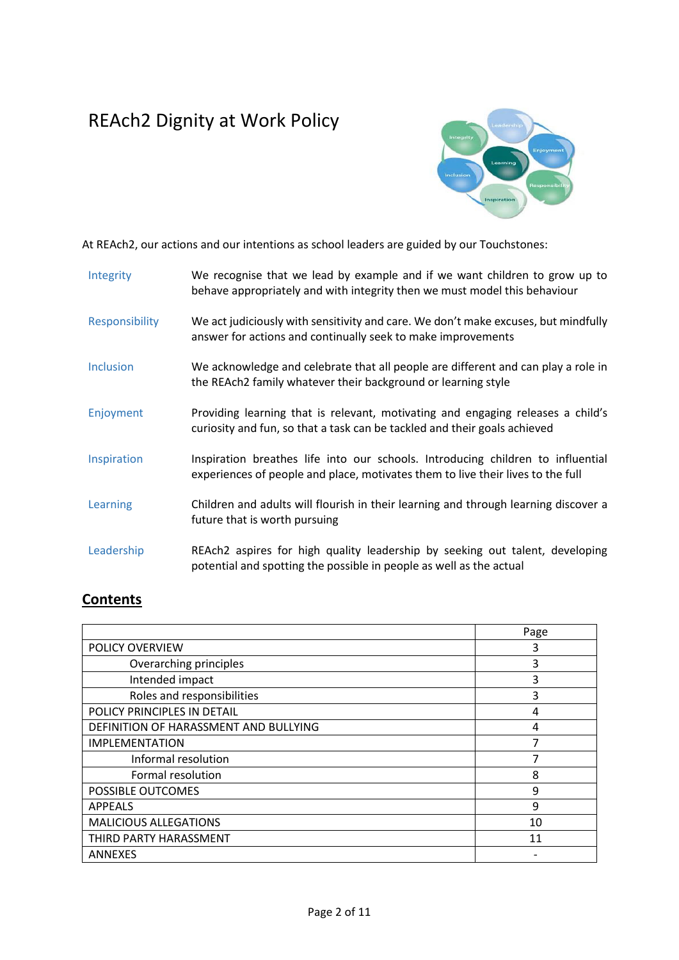## REAch2 Dignity at Work Policy



At REAch2, our actions and our intentions as school leaders are guided by our Touchstones:

| Integrity        | We recognise that we lead by example and if we want children to grow up to<br>behave appropriately and with integrity then we must model this behaviour            |
|------------------|--------------------------------------------------------------------------------------------------------------------------------------------------------------------|
| Responsibility   | We act judiciously with sensitivity and care. We don't make excuses, but mindfully<br>answer for actions and continually seek to make improvements                 |
| <b>Inclusion</b> | We acknowledge and celebrate that all people are different and can play a role in<br>the REAch2 family whatever their background or learning style                 |
| Enjoyment        | Providing learning that is relevant, motivating and engaging releases a child's<br>curiosity and fun, so that a task can be tackled and their goals achieved       |
| Inspiration      | Inspiration breathes life into our schools. Introducing children to influential<br>experiences of people and place, motivates them to live their lives to the full |
| Learning         | Children and adults will flourish in their learning and through learning discover a<br>future that is worth pursuing                                               |
| Leadership       | REAch2 aspires for high quality leadership by seeking out talent, developing<br>potential and spotting the possible in people as well as the actual                |

### **Contents**

|                                       | Page |
|---------------------------------------|------|
| POLICY OVERVIEW                       | 3    |
| Overarching principles                | 3    |
| Intended impact                       | 3    |
| Roles and responsibilities            | 3    |
| POLICY PRINCIPLES IN DETAIL           | 4    |
| DEFINITION OF HARASSMENT AND BULLYING | 4    |
| <b>IMPLEMENTATION</b>                 | 7    |
| Informal resolution                   |      |
| Formal resolution                     | 8    |
| POSSIBLE OUTCOMES                     | 9    |
| <b>APPEALS</b>                        | 9    |
| <b>MALICIOUS ALLEGATIONS</b>          | 10   |
| THIRD PARTY HARASSMENT                | 11   |
| <b>ANNEXES</b>                        |      |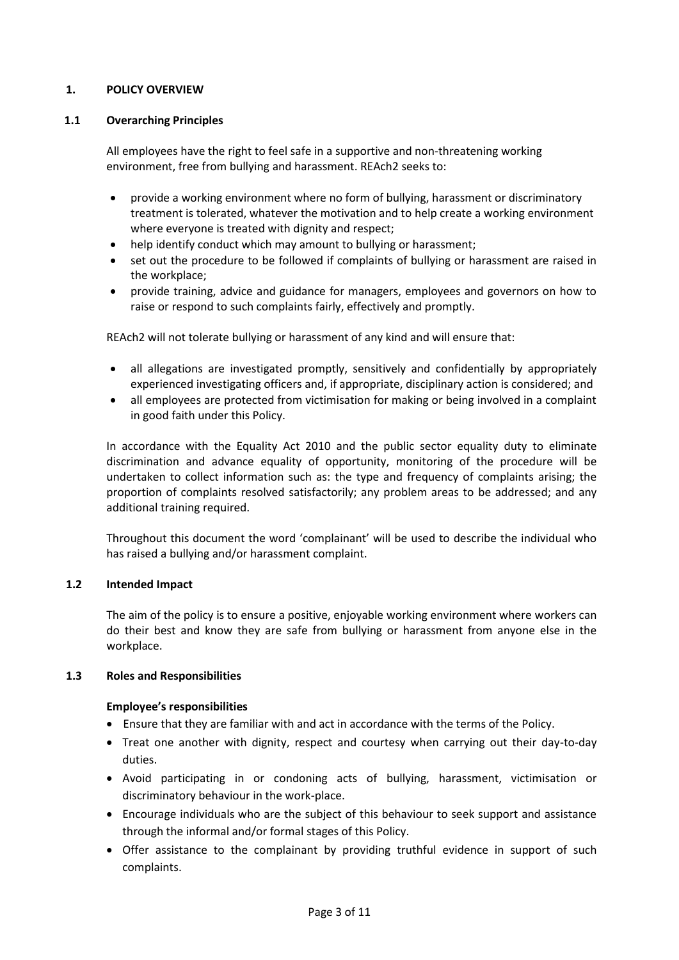#### **1. POLICY OVERVIEW**

#### **1.1 Overarching Principles**

All employees have the right to feel safe in a supportive and non-threatening working environment, free from bullying and harassment. REAch2 seeks to:

- provide a working environment where no form of bullying, harassment or discriminatory treatment is tolerated, whatever the motivation and to help create a working environment where everyone is treated with dignity and respect;
- help identify conduct which may amount to bullying or harassment;
- set out the procedure to be followed if complaints of bullying or harassment are raised in the workplace;
- provide training, advice and guidance for managers, employees and governors on how to raise or respond to such complaints fairly, effectively and promptly.

REAch2 will not tolerate bullying or harassment of any kind and will ensure that:

- all allegations are investigated promptly, sensitively and confidentially by appropriately experienced investigating officers and, if appropriate, disciplinary action is considered; and
- all employees are protected from victimisation for making or being involved in a complaint in good faith under this Policy.

In accordance with the Equality Act 2010 and the public sector equality duty to eliminate discrimination and advance equality of opportunity, monitoring of the procedure will be undertaken to collect information such as: the type and frequency of complaints arising; the proportion of complaints resolved satisfactorily; any problem areas to be addressed; and any additional training required.

Throughout this document the word 'complainant' will be used to describe the individual who has raised a bullying and/or harassment complaint.

#### **1.2 Intended Impact**

The aim of the policy is to ensure a positive, enjoyable working environment where workers can do their best and know they are safe from bullying or harassment from anyone else in the workplace.

#### **1.3 Roles and Responsibilities**

#### **Employee's responsibilities**

- Ensure that they are familiar with and act in accordance with the terms of the Policy.
- Treat one another with dignity, respect and courtesy when carrying out their day-to-day duties.
- Avoid participating in or condoning acts of bullying, harassment, victimisation or discriminatory behaviour in the work-place.
- Encourage individuals who are the subject of this behaviour to seek support and assistance through the informal and/or formal stages of this Policy.
- Offer assistance to the complainant by providing truthful evidence in support of such complaints.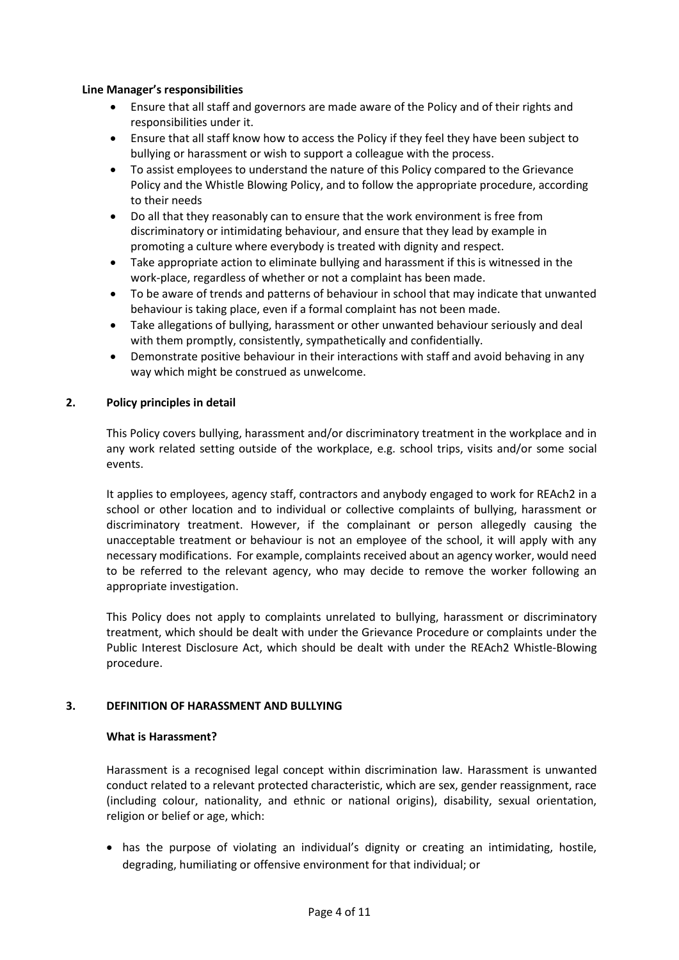#### **Line Manager's responsibilities**

- Ensure that all staff and governors are made aware of the Policy and of their rights and responsibilities under it.
- Ensure that all staff know how to access the Policy if they feel they have been subject to bullying or harassment or wish to support a colleague with the process.
- To assist employees to understand the nature of this Policy compared to the Grievance Policy and the Whistle Blowing Policy, and to follow the appropriate procedure, according to their needs
- Do all that they reasonably can to ensure that the work environment is free from discriminatory or intimidating behaviour, and ensure that they lead by example in promoting a culture where everybody is treated with dignity and respect.
- Take appropriate action to eliminate bullying and harassment if this is witnessed in the work-place, regardless of whether or not a complaint has been made.
- To be aware of trends and patterns of behaviour in school that may indicate that unwanted behaviour is taking place, even if a formal complaint has not been made.
- Take allegations of bullying, harassment or other unwanted behaviour seriously and deal with them promptly, consistently, sympathetically and confidentially.
- Demonstrate positive behaviour in their interactions with staff and avoid behaving in any way which might be construed as unwelcome.

#### **2. Policy principles in detail**

This Policy covers bullying, harassment and/or discriminatory treatment in the workplace and in any work related setting outside of the workplace, e.g. school trips, visits and/or some social events.

It applies to employees, agency staff, contractors and anybody engaged to work for REAch2 in a school or other location and to individual or collective complaints of bullying, harassment or discriminatory treatment. However, if the complainant or person allegedly causing the unacceptable treatment or behaviour is not an employee of the school, it will apply with any necessary modifications. For example, complaints received about an agency worker, would need to be referred to the relevant agency, who may decide to remove the worker following an appropriate investigation.

This Policy does not apply to complaints unrelated to bullying, harassment or discriminatory treatment, which should be dealt with under the Grievance Procedure or complaints under the Public Interest Disclosure Act, which should be dealt with under the REAch2 Whistle-Blowing procedure.

#### **3. DEFINITION OF HARASSMENT AND BULLYING**

#### **What is Harassment?**

Harassment is a recognised legal concept within discrimination law. Harassment is unwanted conduct related to a relevant protected characteristic, which are sex, gender reassignment, race (including colour, nationality, and ethnic or national origins), disability, sexual orientation, religion or belief or age, which:

 has the purpose of violating an individual's dignity or creating an intimidating, hostile, degrading, humiliating or offensive environment for that individual; or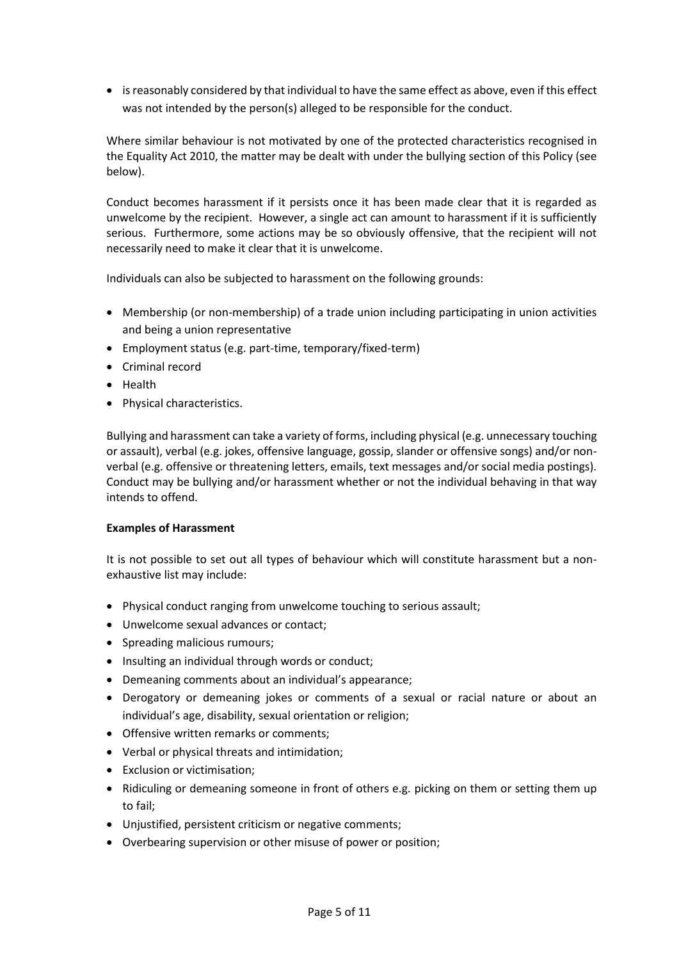• is reasonably considered by that individual to have the same effect as above, even if this effect was not intended by the person(s) alleged to be responsible for the conduct.

Where similar behaviour is not motivated by one of the protected characteristics recognised in the Equality Act 2010, the matter may be dealt with under the bullying section of this Policy (see below).

Conduct becomes harassment if it persists once it has been made clear that it is regarded as unwelcome by the recipient. However, a single act can amount to harassment if it is sufficiently serious. Furthermore, some actions may be so obviously offensive, that the recipient will not necessarily need to make it clear that it is unwelcome.

Individuals can also be subjected to harassment on the following grounds:

- Membership (or non-membership) of a trade union including participating in union activities and being a union representative
- Employment status (e.g. part-time, temporary/fixed-term)
- Criminal record
- **•** Health
- Physical characteristics.

Bullying and harassment can take a variety of forms, including physical (e.g. unnecessary touching or assault), verbal (e.g. jokes, offensive language, gossip, slander or offensive songs) and/or nonverbal (e.g. offensive or threatening letters, emails, text messages and/or social media postings). Conduct may be bullying and/or harassment whether or not the individual behaving in that way intends to offend.

#### **Examples of Harassment**

It is not possible to set out all types of behaviour which will constitute harassment but a nonexhaustive list may include:

- Physical conduct ranging from unwelcome touching to serious assault;
- Unwelcome sexual advances or contact;
- Spreading malicious rumours;
- Insulting an individual through words or conduct:
- Demeaning comments about an individual's appearance;
- Derogatory or demeaning jokes or comments of a sexual or racial nature or about an individual's age, disability, sexual orientation or religion;
- Offensive written remarks or comments;
- Verbal or physical threats and intimidation;
- Exclusion or victimisation;
- Ridiculing or demeaning someone in front of others e.g. picking on them or setting them up to fail;
- Unjustified, persistent criticism or negative comments;
- Overbearing supervision or other misuse of power or position;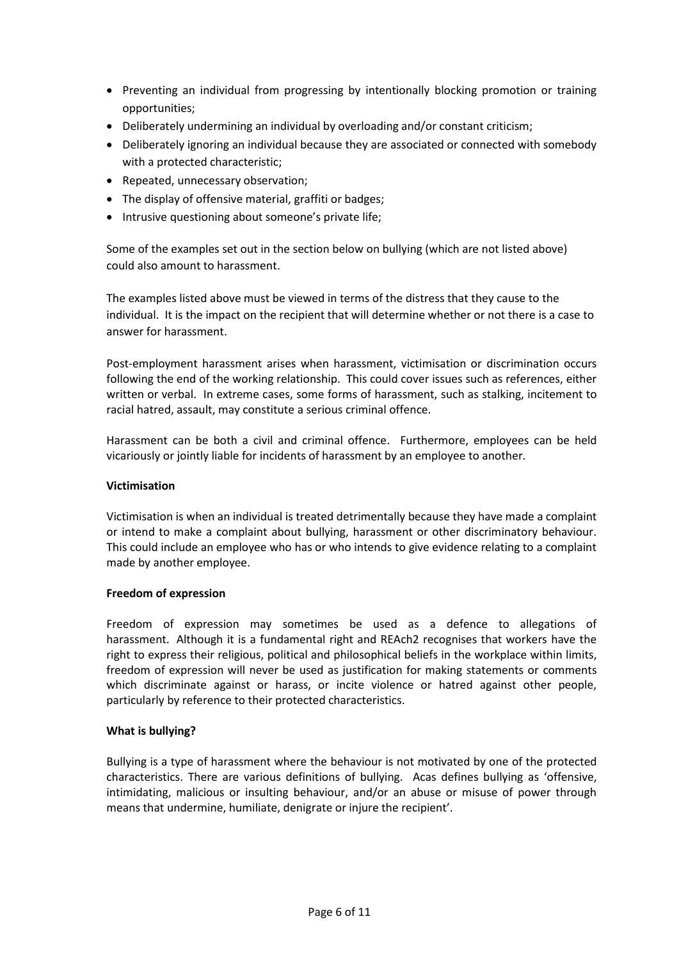- Preventing an individual from progressing by intentionally blocking promotion or training opportunities;
- Deliberately undermining an individual by overloading and/or constant criticism;
- Deliberately ignoring an individual because they are associated or connected with somebody with a protected characteristic;
- Repeated, unnecessary observation;
- The display of offensive material, graffiti or badges:
- Intrusive questioning about someone's private life;

Some of the examples set out in the section below on bullying (which are not listed above) could also amount to harassment.

The examples listed above must be viewed in terms of the distress that they cause to the individual. It is the impact on the recipient that will determine whether or not there is a case to answer for harassment.

Post-employment harassment arises when harassment, victimisation or discrimination occurs following the end of the working relationship. This could cover issues such as references, either written or verbal. In extreme cases, some forms of harassment, such as stalking, incitement to racial hatred, assault, may constitute a serious criminal offence.

Harassment can be both a civil and criminal offence. Furthermore, employees can be held vicariously or jointly liable for incidents of harassment by an employee to another.

#### **Victimisation**

Victimisation is when an individual is treated detrimentally because they have made a complaint or intend to make a complaint about bullying, harassment or other discriminatory behaviour. This could include an employee who has or who intends to give evidence relating to a complaint made by another employee.

#### **Freedom of expression**

Freedom of expression may sometimes be used as a defence to allegations of harassment. Although it is a fundamental right and REAch2 recognises that workers have the right to express their religious, political and philosophical beliefs in the workplace within limits, freedom of expression will never be used as justification for making statements or comments which discriminate against or harass, or incite violence or hatred against other people, particularly by reference to their protected characteristics.

#### **What is bullying?**

Bullying is a type of harassment where the behaviour is not motivated by one of the protected characteristics. There are various definitions of bullying. Acas defines bullying as 'offensive, intimidating, malicious or insulting behaviour, and/or an abuse or misuse of power through means that undermine, humiliate, denigrate or injure the recipient'.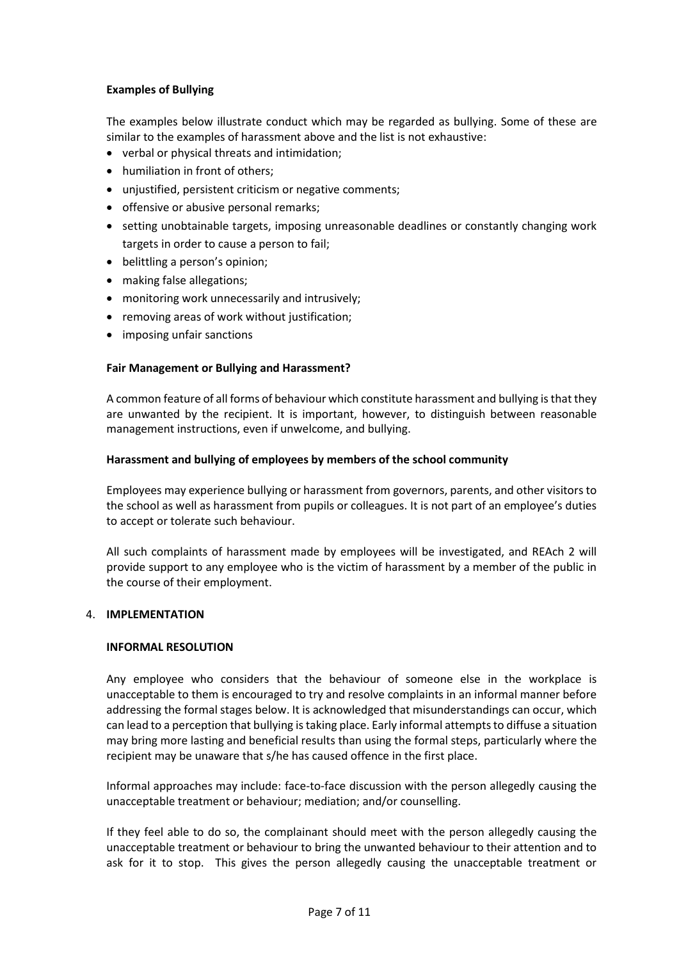#### **Examples of Bullying**

The examples below illustrate conduct which may be regarded as bullying. Some of these are similar to the examples of harassment above and the list is not exhaustive:

- verbal or physical threats and intimidation;
- humiliation in front of others;
- unjustified, persistent criticism or negative comments;
- offensive or abusive personal remarks;
- setting unobtainable targets, imposing unreasonable deadlines or constantly changing work targets in order to cause a person to fail;
- belittling a person's opinion;
- making false allegations;
- monitoring work unnecessarily and intrusively;
- removing areas of work without justification;
- imposing unfair sanctions

#### **Fair Management or Bullying and Harassment?**

A common feature of all forms of behaviour which constitute harassment and bullying is that they are unwanted by the recipient. It is important, however, to distinguish between reasonable management instructions, even if unwelcome, and bullying.

#### **Harassment and bullying of employees by members of the school community**

Employees may experience bullying or harassment from governors, parents, and other visitors to the school as well as harassment from pupils or colleagues. It is not part of an employee's duties to accept or tolerate such behaviour.

All such complaints of harassment made by employees will be investigated, and REAch 2 will provide support to any employee who is the victim of harassment by a member of the public in the course of their employment.

#### 4. **IMPLEMENTATION**

#### **INFORMAL RESOLUTION**

Any employee who considers that the behaviour of someone else in the workplace is unacceptable to them is encouraged to try and resolve complaints in an informal manner before addressing the formal stages below. It is acknowledged that misunderstandings can occur, which can lead to a perception that bullying is taking place. Early informal attempts to diffuse a situation may bring more lasting and beneficial results than using the formal steps, particularly where the recipient may be unaware that s/he has caused offence in the first place.

Informal approaches may include: face-to-face discussion with the person allegedly causing the unacceptable treatment or behaviour; mediation; and/or counselling.

If they feel able to do so, the complainant should meet with the person allegedly causing the unacceptable treatment or behaviour to bring the unwanted behaviour to their attention and to ask for it to stop. This gives the person allegedly causing the unacceptable treatment or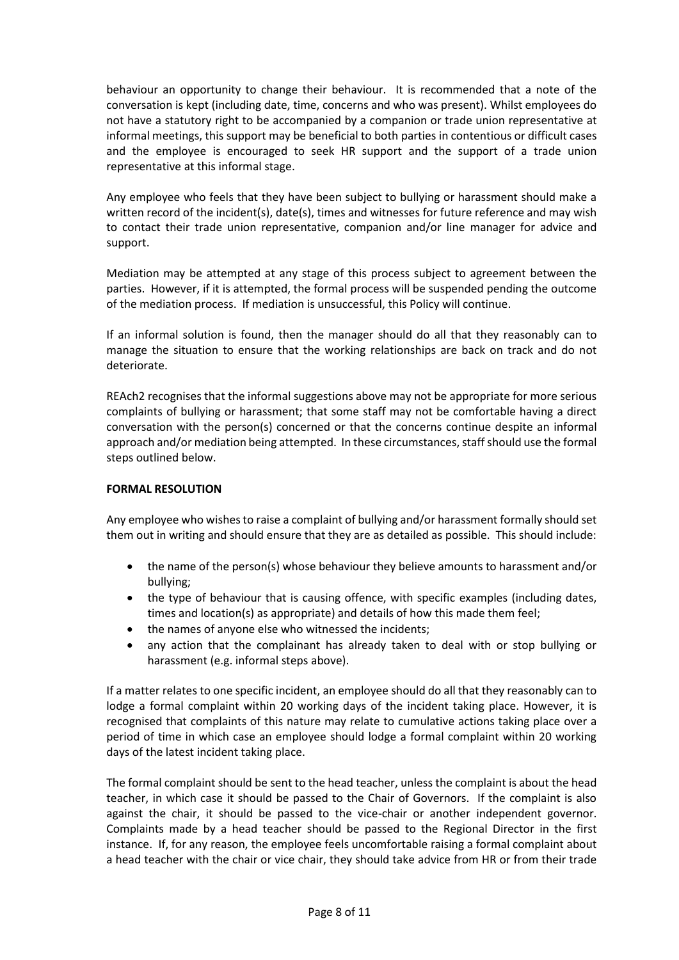behaviour an opportunity to change their behaviour. It is recommended that a note of the conversation is kept (including date, time, concerns and who was present). Whilst employees do not have a statutory right to be accompanied by a companion or trade union representative at informal meetings, this support may be beneficial to both parties in contentious or difficult cases and the employee is encouraged to seek HR support and the support of a trade union representative at this informal stage.

Any employee who feels that they have been subject to bullying or harassment should make a written record of the incident(s), date(s), times and witnesses for future reference and may wish to contact their trade union representative, companion and/or line manager for advice and support.

Mediation may be attempted at any stage of this process subject to agreement between the parties. However, if it is attempted, the formal process will be suspended pending the outcome of the mediation process. If mediation is unsuccessful, this Policy will continue.

If an informal solution is found, then the manager should do all that they reasonably can to manage the situation to ensure that the working relationships are back on track and do not deteriorate.

REAch2 recognises that the informal suggestions above may not be appropriate for more serious complaints of bullying or harassment; that some staff may not be comfortable having a direct conversation with the person(s) concerned or that the concerns continue despite an informal approach and/or mediation being attempted. In these circumstances, staff should use the formal steps outlined below.

#### **FORMAL RESOLUTION**

Any employee who wishes to raise a complaint of bullying and/or harassment formally should set them out in writing and should ensure that they are as detailed as possible. This should include:

- the name of the person(s) whose behaviour they believe amounts to harassment and/or bullying;
- the type of behaviour that is causing offence, with specific examples (including dates, times and location(s) as appropriate) and details of how this made them feel;
- the names of anyone else who witnessed the incidents;
- any action that the complainant has already taken to deal with or stop bullying or harassment (e.g. informal steps above).

If a matter relates to one specific incident, an employee should do all that they reasonably can to lodge a formal complaint within 20 working days of the incident taking place. However, it is recognised that complaints of this nature may relate to cumulative actions taking place over a period of time in which case an employee should lodge a formal complaint within 20 working days of the latest incident taking place.

The formal complaint should be sent to the head teacher, unless the complaint is about the head teacher, in which case it should be passed to the Chair of Governors. If the complaint is also against the chair, it should be passed to the vice-chair or another independent governor. Complaints made by a head teacher should be passed to the Regional Director in the first instance. If, for any reason, the employee feels uncomfortable raising a formal complaint about a head teacher with the chair or vice chair, they should take advice from HR or from their trade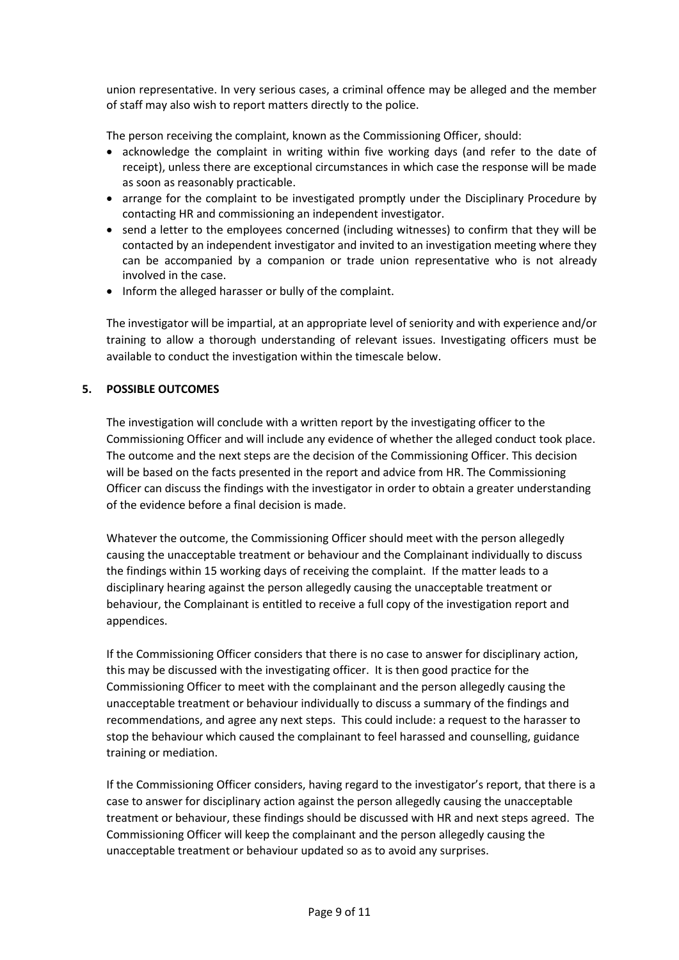union representative. In very serious cases, a criminal offence may be alleged and the member of staff may also wish to report matters directly to the police.

The person receiving the complaint, known as the Commissioning Officer, should:

- acknowledge the complaint in writing within five working days (and refer to the date of receipt), unless there are exceptional circumstances in which case the response will be made as soon as reasonably practicable.
- arrange for the complaint to be investigated promptly under the Disciplinary Procedure by contacting HR and commissioning an independent investigator.
- send a letter to the employees concerned (including witnesses) to confirm that they will be contacted by an independent investigator and invited to an investigation meeting where they can be accompanied by a companion or trade union representative who is not already involved in the case.
- Inform the alleged harasser or bully of the complaint.

The investigator will be impartial, at an appropriate level of seniority and with experience and/or training to allow a thorough understanding of relevant issues. Investigating officers must be available to conduct the investigation within the timescale below.

#### **5. POSSIBLE OUTCOMES**

The investigation will conclude with a written report by the investigating officer to the Commissioning Officer and will include any evidence of whether the alleged conduct took place. The outcome and the next steps are the decision of the Commissioning Officer. This decision will be based on the facts presented in the report and advice from HR. The Commissioning Officer can discuss the findings with the investigator in order to obtain a greater understanding of the evidence before a final decision is made.

Whatever the outcome, the Commissioning Officer should meet with the person allegedly causing the unacceptable treatment or behaviour and the Complainant individually to discuss the findings within 15 working days of receiving the complaint. If the matter leads to a disciplinary hearing against the person allegedly causing the unacceptable treatment or behaviour, the Complainant is entitled to receive a full copy of the investigation report and appendices.

If the Commissioning Officer considers that there is no case to answer for disciplinary action, this may be discussed with the investigating officer. It is then good practice for the Commissioning Officer to meet with the complainant and the person allegedly causing the unacceptable treatment or behaviour individually to discuss a summary of the findings and recommendations, and agree any next steps. This could include: a request to the harasser to stop the behaviour which caused the complainant to feel harassed and counselling, guidance training or mediation.

If the Commissioning Officer considers, having regard to the investigator's report, that there is a case to answer for disciplinary action against the person allegedly causing the unacceptable treatment or behaviour, these findings should be discussed with HR and next steps agreed. The Commissioning Officer will keep the complainant and the person allegedly causing the unacceptable treatment or behaviour updated so as to avoid any surprises.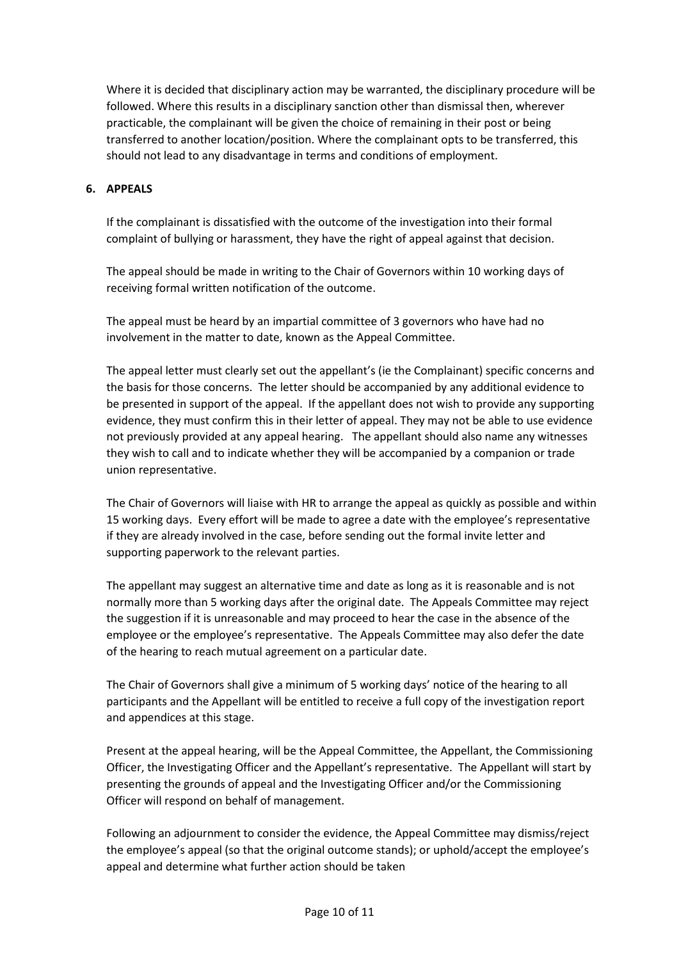Where it is decided that disciplinary action may be warranted, the disciplinary procedure will be followed. Where this results in a disciplinary sanction other than dismissal then, wherever practicable, the complainant will be given the choice of remaining in their post or being transferred to another location/position. Where the complainant opts to be transferred, this should not lead to any disadvantage in terms and conditions of employment.

#### **6. APPEALS**

If the complainant is dissatisfied with the outcome of the investigation into their formal complaint of bullying or harassment, they have the right of appeal against that decision.

The appeal should be made in writing to the Chair of Governors within 10 working days of receiving formal written notification of the outcome.

The appeal must be heard by an impartial committee of 3 governors who have had no involvement in the matter to date, known as the Appeal Committee.

The appeal letter must clearly set out the appellant's (ie the Complainant) specific concerns and the basis for those concerns. The letter should be accompanied by any additional evidence to be presented in support of the appeal. If the appellant does not wish to provide any supporting evidence, they must confirm this in their letter of appeal. They may not be able to use evidence not previously provided at any appeal hearing. The appellant should also name any witnesses they wish to call and to indicate whether they will be accompanied by a companion or trade union representative.

The Chair of Governors will liaise with HR to arrange the appeal as quickly as possible and within 15 working days. Every effort will be made to agree a date with the employee's representative if they are already involved in the case, before sending out the formal invite letter and supporting paperwork to the relevant parties.

The appellant may suggest an alternative time and date as long as it is reasonable and is not normally more than 5 working days after the original date. The Appeals Committee may reject the suggestion if it is unreasonable and may proceed to hear the case in the absence of the employee or the employee's representative. The Appeals Committee may also defer the date of the hearing to reach mutual agreement on a particular date.

The Chair of Governors shall give a minimum of 5 working days' notice of the hearing to all participants and the Appellant will be entitled to receive a full copy of the investigation report and appendices at this stage.

Present at the appeal hearing, will be the Appeal Committee, the Appellant, the Commissioning Officer, the Investigating Officer and the Appellant's representative. The Appellant will start by presenting the grounds of appeal and the Investigating Officer and/or the Commissioning Officer will respond on behalf of management.

Following an adjournment to consider the evidence, the Appeal Committee may dismiss/reject the employee's appeal (so that the original outcome stands); or uphold/accept the employee's appeal and determine what further action should be taken